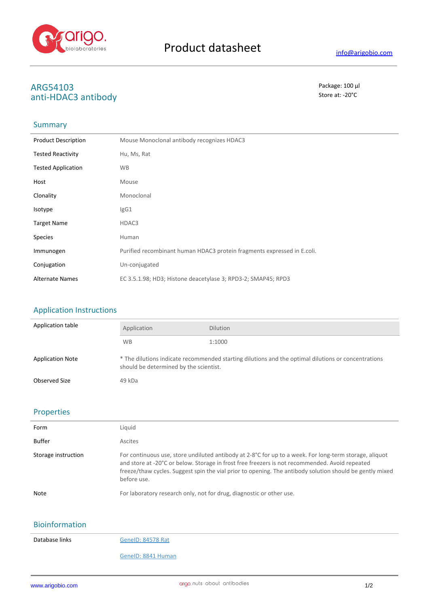

# **ARG54103** Package: 100 μl anti-HDAC3 antibody

### **Summary**

| <b>Product Description</b> | Mouse Monoclonal antibody recognizes HDAC3                              |
|----------------------------|-------------------------------------------------------------------------|
| <b>Tested Reactivity</b>   | Hu, Ms, Rat                                                             |
| <b>Tested Application</b>  | <b>WB</b>                                                               |
| Host                       | Mouse                                                                   |
| Clonality                  | Monoclonal                                                              |
| Isotype                    | lgG1                                                                    |
| <b>Target Name</b>         | HDAC3                                                                   |
| <b>Species</b>             | Human                                                                   |
| Immunogen                  | Purified recombinant human HDAC3 protein fragments expressed in E.coli. |
| Conjugation                | Un-conjugated                                                           |
| <b>Alternate Names</b>     | EC 3.5.1.98; HD3; Histone deacetylase 3; RPD3-2; SMAP45; RPD3           |

# Application Instructions

| Application table       | Application                                                                                                                                   | <b>Dilution</b> |
|-------------------------|-----------------------------------------------------------------------------------------------------------------------------------------------|-----------------|
|                         | <b>WB</b>                                                                                                                                     | 1:1000          |
| <b>Application Note</b> | * The dilutions indicate recommended starting dilutions and the optimal dilutions or concentrations<br>should be determined by the scientist. |                 |
| Observed Size           | 49 kDa                                                                                                                                        |                 |

#### Properties

| Form                | Liquid                                                                                                                                                                                                                                                                                                                              |
|---------------------|-------------------------------------------------------------------------------------------------------------------------------------------------------------------------------------------------------------------------------------------------------------------------------------------------------------------------------------|
| <b>Buffer</b>       | Ascites                                                                                                                                                                                                                                                                                                                             |
| Storage instruction | For continuous use, store undiluted antibody at 2-8°C for up to a week. For long-term storage, aliquot<br>and store at -20°C or below. Storage in frost free freezers is not recommended. Avoid repeated<br>freeze/thaw cycles. Suggest spin the vial prior to opening. The antibody solution should be gently mixed<br>before use. |
| Note                | For laboratory research only, not for drug, diagnostic or other use.                                                                                                                                                                                                                                                                |

# Bioinformation

Database links GeneID: 84578 Rat

GeneID: 8841 Human